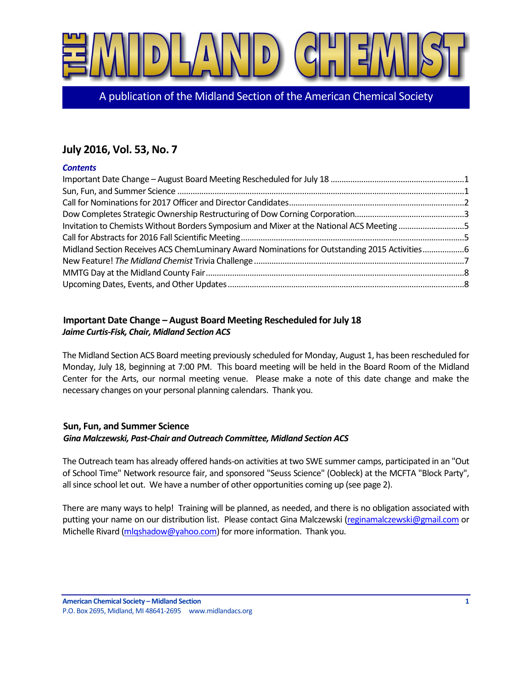

A publication of the Midland Section of the American Chemical Society

# **July 2016, Vol. 53, No. 7**

#### *Contents*

| Invitation to Chemists Without Borders Symposium and Mixer at the National ACS Meeting 5     |  |
|----------------------------------------------------------------------------------------------|--|
|                                                                                              |  |
| Midland Section Receives ACS ChemLuminary Award Nominations for Outstanding 2015 Activities6 |  |
|                                                                                              |  |
|                                                                                              |  |
|                                                                                              |  |

## <span id="page-0-0"></span>**Important Date Change – August Board Meeting Rescheduled for July 18** *Jaime Curtis-Fisk, Chair, Midland Section ACS*

The Midland Section ACS Board meeting previously scheduled for Monday, August 1, has been rescheduled for Monday, July 18, beginning at 7:00 PM. This board meeting will be held in the Board Room of the Midland Center for the Arts, our normal meeting venue. Please make a note of this date change and make the necessary changes on your personal planning calendars. Thank you.

#### <span id="page-0-1"></span>**Sun, Fun, and Summer Science** *Gina Malczewski, Past-Chair and Outreach Committee, Midland Section ACS*

The Outreach team has already offered hands-on activities at two SWE summer camps, participated in an "Out of School Time" Network resource fair, and sponsored "Seuss Science" (Oobleck) at the MCFTA "Block Party", all since school let out. We have a number of other opportunities coming up (see page 2).

There are many ways to help! Training will be planned, as needed, and there is no obligation associated with putting your name on our distribution list. Please contact Gina Malczewski [\(reginamalczewski@gmail.com](mailto:reginamalczewski@gmail.com) or Michelle Rivard [\(mlqshadow@yahoo.com\)](mailto:mlqshadow@yahoo.com) for more information. Thank you.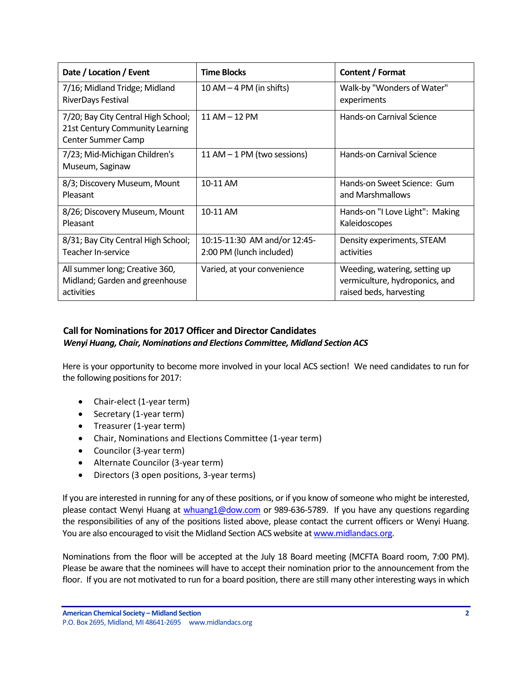| Date / Location / Event                                                                      | <b>Time Blocks</b>                                       | Content / Format                                                                           |
|----------------------------------------------------------------------------------------------|----------------------------------------------------------|--------------------------------------------------------------------------------------------|
| 7/16; Midland Tridge; Midland<br><b>RiverDays Festival</b>                                   | $10 AM - 4 PM$ (in shifts)                               | Walk-by "Wonders of Water"<br>experiments                                                  |
| 7/20; Bay City Central High School;<br>21st Century Community Learning<br>Center Summer Camp | 11 AM - 12 PM                                            | Hands-on Carnival Science                                                                  |
| 7/23; Mid-Michigan Children's<br>Museum, Saginaw                                             | 11 AM $-$ 1 PM (two sessions)                            | Hands-on Carnival Science                                                                  |
| 8/3; Discovery Museum, Mount<br>Pleasant                                                     | 10-11 AM                                                 | Hands-on Sweet Science: Gum<br>and Marshmallows                                            |
| 8/26; Discovery Museum, Mount<br>Pleasant                                                    | 10-11 AM                                                 | Hands-on "I Love Light": Making<br>Kaleidoscopes                                           |
| 8/31; Bay City Central High School;<br>Teacher In-service                                    | 10:15-11:30 AM and/or 12:45-<br>2:00 PM (lunch included) | Density experiments, STEAM<br>activities                                                   |
| All summer long; Creative 360,<br>Midland; Garden and greenhouse<br>activities               | Varied, at your convenience                              | Weeding, watering, setting up<br>vermiculture, hydroponics, and<br>raised beds, harvesting |

## <span id="page-1-0"></span>**Call for Nominations for 2017 Officer and Director Candidates** *Wenyi Huang, Chair, Nominations and Elections Committee, Midland Section ACS*

Here is your opportunity to become more involved in your local ACS section! We need candidates to run for the following positions for 2017:

- Chair-elect (1-year term)
- Secretary (1-year term)
- Treasurer (1-year term)
- Chair, Nominations and Elections Committee (1-year term)
- Councilor (3-year term)
- Alternate Councilor (3-year term)
- Directors (3 open positions, 3-year terms)

If you are interested in running for any of these positions, or if you know of someone who might be interested, please contact Wenyi Huang at [whuang1@dow.com](mailto:whuang1@dow.com) or 989-636-5789. If you have any questions regarding the responsibilities of any of the positions listed above, please contact the current officers or Wenyi Huang. You are also encouraged to visit the Midland Section ACS website a[t www.midlandacs.org.](http://www.midlandacs.org/)

Nominations from the floor will be accepted at the July 18 Board meeting (MCFTA Board room, 7:00 PM). Please be aware that the nominees will have to accept their nomination prior to the announcement from the floor. If you are not motivated to run for a board position, there are still many other interesting ways in which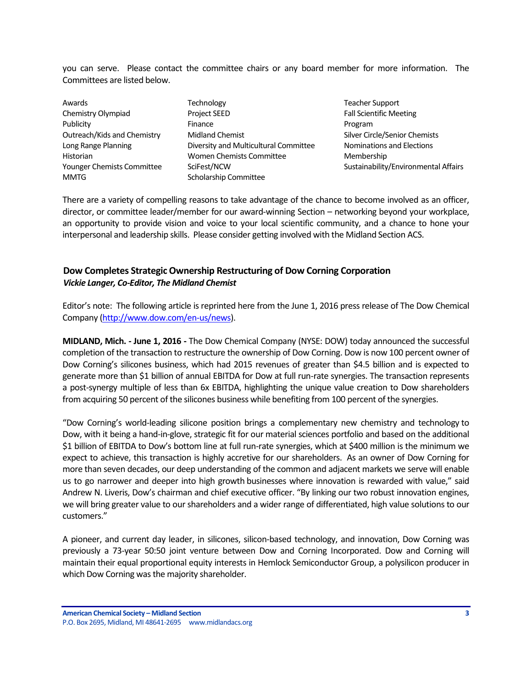you can serve. Please contact the committee chairs or any board member for more information. The Committees are listed below.

| Awards                            | Technology                            | Teacher           |
|-----------------------------------|---------------------------------------|-------------------|
| Chemistry Olympiad                | <b>Project SEED</b>                   | <b>Fall Scier</b> |
| Publicity                         | Finance                               | Program           |
| Outreach/Kids and Chemistry       | <b>Midland Chemist</b>                | Silver Cir        |
| Long Range Planning               | Diversity and Multicultural Committee | Nominat           |
| Historian                         | <b>Women Chemists Committee</b>       | Member            |
| <b>Younger Chemists Committee</b> | SciFest/NCW                           | Sustaina          |
| <b>MMTG</b>                       | Scholarship Committee                 |                   |

**Teacher Support** Fall Scientific Meeting Silver Circle/Senior Chemists Ittee **Nominations and Elections Membership** Sustainability/Environmental Affairs

There are a variety of compelling reasons to take advantage of the chance to become involved as an officer, director, or committee leader/member for our award-winning Section – networking beyond your workplace, an opportunity to provide vision and voice to your local scientific community, and a chance to hone your interpersonal and leadership skills. Please consider getting involved with the Midland Section ACS.

#### <span id="page-2-0"></span>**Dow Completes Strategic Ownership Restructuring of Dow Corning Corporation** *Vickie Langer, Co-Editor, The Midland Chemist*

Editor's note: The following article is reprinted here from the June 1, 2016 press release of The Dow Chemical Company [\(http://www.dow.com/en-us/news\)](http://www.dow.com/en-us/news).

**MIDLAND, Mich. - June 1, 2016 -** The Dow Chemical Company (NYSE: DOW) today announced the successful completion of the transaction to restructure the ownership of Dow Corning. Dow is now 100 percent owner of Dow Corning's silicones business, which had 2015 revenues of greater than \$4.5 billion and is expected to generate more than \$1 billion of annual EBITDA for Dow at full run-rate synergies. The transaction represents a post-synergy multiple of less than 6x EBITDA, highlighting the unique value creation to Dow shareholders from acquiring 50 percent of the silicones business while benefiting from 100 percent of the synergies.

"Dow Corning's world-leading silicone position brings a complementary new chemistry and technology to Dow, with it being a hand-in-glove, strategic fit for our material sciences portfolio and based on the additional \$1 billion of EBITDA to Dow's bottom line at full run-rate synergies, which at \$400 million is the minimum we expect to achieve, this transaction is highly accretive for our shareholders. As an owner of Dow Corning for more than seven decades, our deep understanding of the common and adjacent markets we serve will enable us to go narrower and deeper into high growth businesses where innovation is rewarded with value," said Andrew N. Liveris, Dow's chairman and chief executive officer. "By linking our two robust innovation engines, we will bring greater value to our shareholders and a wider range of differentiated, high value solutions to our customers."

A pioneer, and current day leader, in silicones, silicon-based technology, and innovation, Dow Corning was previously a 73-year 50:50 joint venture between Dow and Corning Incorporated. Dow and Corning will maintain their equal proportional equity interests in Hemlock Semiconductor Group, a polysilicon producer in which Dow Corning was the majority shareholder.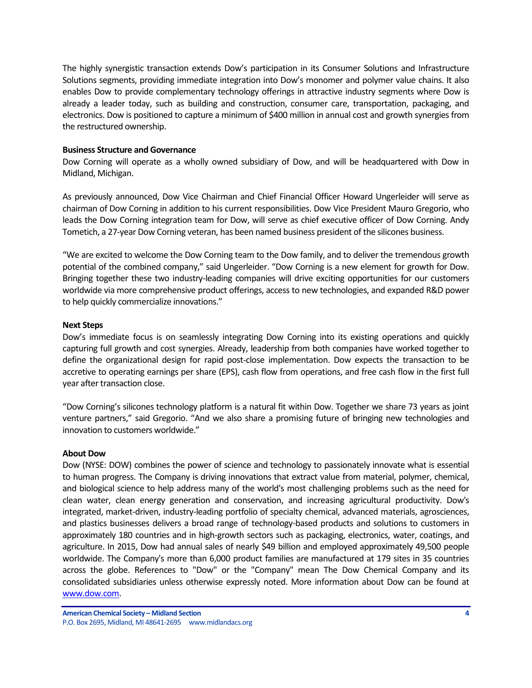The highly synergistic transaction extends Dow's participation in its Consumer Solutions and Infrastructure Solutions segments, providing immediate integration into Dow's monomer and polymer value chains. It also enables Dow to provide complementary technology offerings in attractive industry segments where Dow is already a leader today, such as building and construction, consumer care, transportation, packaging, and electronics. Dow is positioned to capture a minimum of \$400 million in annual cost and growth synergies from the restructured ownership.

#### **Business Structure and Governance**

Dow Corning will operate as a wholly owned subsidiary of Dow, and will be headquartered with Dow in Midland, Michigan.

As previously announced, Dow Vice Chairman and Chief Financial Officer Howard Ungerleider will serve as chairman of Dow Corning in addition to his current responsibilities. Dow Vice President Mauro Gregorio, who leads the Dow Corning integration team for Dow, will serve as chief executive officer of Dow Corning. Andy Tometich, a 27-year Dow Corning veteran, has been named business president of the silicones business.

"We are excited to welcome the Dow Corning team to the Dow family, and to deliver the tremendous growth potential of the combined company," said Ungerleider. "Dow Corning is a new element for growth for Dow. Bringing together these two industry-leading companies will drive exciting opportunities for our customers worldwide via more comprehensive product offerings, access to new technologies, and expanded R&D power to help quickly commercialize innovations."

#### **Next Steps**

Dow's immediate focus is on seamlessly integrating Dow Corning into its existing operations and quickly capturing full growth and cost synergies. Already, leadership from both companies have worked together to define the organizational design for rapid post-close implementation. Dow expects the transaction to be accretive to operating earnings per share (EPS), cash flow from operations, and free cash flow in the first full year after transaction close.

"Dow Corning's silicones technology platform is a natural fit within Dow. Together we share 73 years as joint venture partners," said Gregorio. "And we also share a promising future of bringing new technologies and innovation to customers worldwide."

#### **About Dow**

Dow (NYSE: DOW) combines the power of science and technology to passionately innovate what is essential to human progress. The Company is driving innovations that extract value from material, polymer, chemical, and biological science to help address many of the world's most challenging problems such as the need for clean water, clean energy generation and conservation, and increasing agricultural productivity. Dow's integrated, market-driven, industry-leading portfolio of specialty chemical, advanced materials, agrosciences, and plastics businesses delivers a broad range of technology-based products and solutions to customers in approximately 180 countries and in high-growth sectors such as packaging, electronics, water, coatings, and agriculture. In 2015, Dow had annual sales of nearly \$49 billion and employed approximately 49,500 people worldwide. The Company's more than 6,000 product families are manufactured at 179 sites in 35 countries across the globe. References to "Dow" or the "Company" mean The Dow Chemical Company and its consolidated subsidiaries unless otherwise expressly noted. More information about Dow can be found at [www.dow.com.](http://www.dow.com/)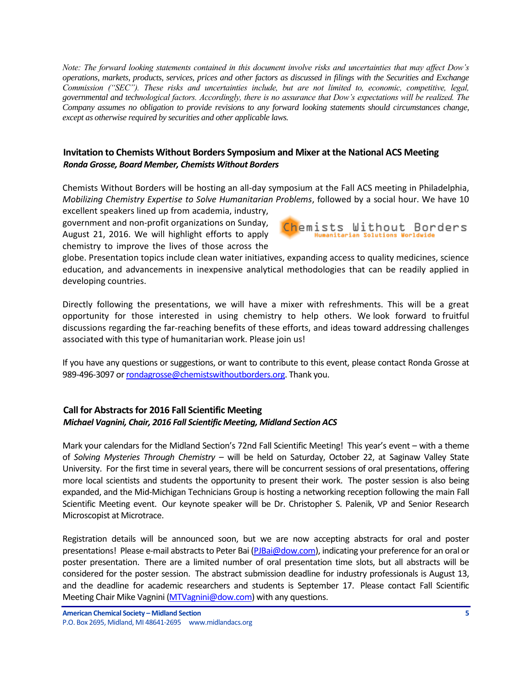*Note: The forward looking statements contained in this document involve risks and uncertainties that may affect Dow's operations, markets, products, services, prices and other factors as discussed in filings with the Securities and Exchange Commission ("SEC"). These risks and uncertainties include, but are not limited to, economic, competitive, legal, governmental and technological factors. Accordingly, there is no assurance that Dow's expectations will be realized. The Company assumes no obligation to provide revisions to any forward looking statements should circumstances change, except as otherwise required by securities and other applicable laws.*

#### <span id="page-4-0"></span>**Invitation to Chemists Without Borders Symposium and Mixer at the National ACS Meeting** *Ronda Grosse, Board Member, Chemists Without Borders*

Chemists Without Borders will be hosting an all-day symposium at the Fall ACS meeting in Philadelphia, *Mobilizing Chemistry Expertise to Solve Humanitarian Problems*, followed by a social hour. We have 10

excellent speakers lined up from academia, industry, government and non-profit organizations on Sunday, August 21, 2016. We will highlight efforts to apply chemistry to improve the lives of those across the



globe. Presentation topics include clean water initiatives, expanding access to quality medicines, science education, and advancements in inexpensive analytical methodologies that can be readily applied in developing countries.

Directly following the presentations, we will have a mixer with refreshments. This will be a great opportunity for those interested in using chemistry to help others. We look forward to fruitful discussions regarding the far-reaching benefits of these efforts, and ideas toward addressing challenges associated with this type of humanitarian work. Please join us!

If you have any questions or suggestions, or want to contribute to this event, please contact Ronda Grosse at 989-496-3097 o[r rondagrosse@chemistswithoutborders.org.](mailto:rondagrosse@chemistswithoutborders.org) Thank you.

#### <span id="page-4-1"></span>**Call for Abstracts for 2016 Fall Scientific Meeting** *Michael Vagnini, Chair, 2016 Fall Scientific Meeting, Midland Section ACS*

Mark your calendars for the Midland Section's 72nd Fall Scientific Meeting! This year's event – with a theme of *Solving Mysteries Through Chemistry* – will be held on Saturday, October 22, at Saginaw Valley State University. For the first time in several years, there will be concurrent sessions of oral presentations, offering more local scientists and students the opportunity to present their work. The poster session is also being expanded, and the Mid-Michigan Technicians Group is hosting a networking reception following the main Fall Scientific Meeting event. Our keynote speaker will be Dr. Christopher S. Palenik, VP and Senior Research Microscopist at Microtrace.

Registration details will be announced soon, but we are now accepting abstracts for oral and poster presentations! Please e-mail abstracts to Peter Bai [\(PJBai@dow.com\)](mailto:PJBai@dow.com), indicating your preference for an oral or poster presentation. There are a limited number of oral presentation time slots, but all abstracts will be considered for the poster session. The abstract submission deadline for industry professionals is August 13, and the deadline for academic researchers and students is September 17. Please contact Fall Scientific Meeting Chair Mike Vagnini [\(MTVagnini@dow.com\)](mailto:MTVagnini@dow.com) with any questions.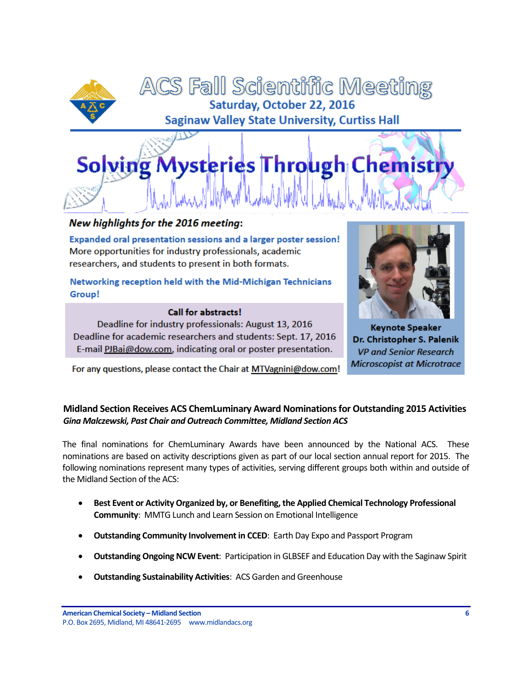



# New highlights for the 2016 meeting:

Expanded oral presentation sessions and a larger poster session! More opportunities for industry professionals, academic researchers, and students to present in both formats.

Networking reception held with the Mid-Michigan Technicians Group!

#### **Call for abstracts!**



Deadline for industry professionals: August 13, 2016 Deadline for academic researchers and students: Sept. 17, 2016 E-mail PJBai@dow.com, indicating oral or poster presentation.

For any questions, please contact the Chair at MTVagnini@dow.com!

## **Keynote Speaker** Dr. Christopher S. Palenik **VP and Senior Research Microscopist at Microtrace**

# <span id="page-5-0"></span>**Midland Section Receives ACS ChemLuminary Award Nominations for Outstanding 2015 Activities** *Gina Malczewski, Past Chair and Outreach Committee, Midland Section ACS*

The final nominations for ChemLuminary Awards have been announced by the National ACS. These nominations are based on activity descriptions given as part of our local section annual report for 2015. The following nominations represent many types of activities, serving different groups both within and outside of the Midland Section of the ACS:

- **Best Event or Activity Organized by, or Benefiting, the Applied Chemical Technology Professional Community**: MMTG Lunch and Learn Session on Emotional Intelligence
- **Outstanding Community Involvement in CCED**: Earth Day Expo and Passport Program
- **Outstanding Ongoing NCW Event**: Participation in GLBSEF and Education Day with the Saginaw Spirit
- **Outstanding Sustainability Activities**: ACS Garden and Greenhouse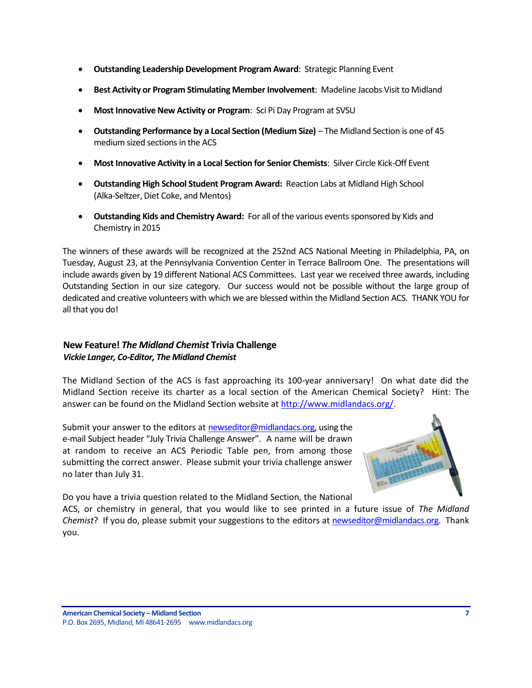- **Outstanding Leadership Development Program Award**: Strategic Planning Event
- **Best Activity or Program Stimulating Member Involvement**: Madeline Jacobs Visit to Midland
- **Most Innovative New Activity or Program**: Sci Pi Day Program at SVSU
- **Outstanding Performance by a Local Section (Medium Size)** The Midland Section is one of 45 medium sized sections in the ACS
- **Most Innovative Activity in a Local Section for Senior Chemists**: Silver Circle Kick-Off Event
- **Outstanding High School Student Program Award:** Reaction Labs at Midland High School (Alka-Seltzer, Diet Coke, and Mentos)
- **Outstanding Kids and Chemistry Award:** For all of the various events sponsored by Kids and Chemistry in 2015

The winners of these awards will be recognized at the 252nd ACS National Meeting in Philadelphia, PA, on Tuesday, August 23, at the Pennsylvania Convention Center in Terrace Ballroom One. The presentations will include awards given by 19 different National ACS Committees. Last year we received three awards, including Outstanding Section in our size category. Our success would not be possible without the large group of dedicated and creative volunteers with which we are blessed within the Midland Section ACS. THANK YOU for all that you do!

# <span id="page-6-0"></span>**New Feature!** *The Midland Chemist* **Trivia Challenge** *Vickie Langer, Co-Editor, The Midland Chemist*

The Midland Section of the ACS is fast approaching its 100-year anniversary! On what date did the Midland Section receive its charter as a local section of the American Chemical Society? Hint: The answer can be found on the Midland Section website at [http://www.midlandacs.org/.](http://www.midlandacs.org/)

Submit your answer to the editors a[t newseditor@midlandacs.org,](mailto:newseditor@midlandacs.org) using the e-mail Subject header "July Trivia Challenge Answer". A name will be drawn at random to receive an ACS Periodic Table pen, from among those submitting the correct answer. Please submit your trivia challenge answer no later than July 31.



Do you have a trivia question related to the Midland Section, the National

ACS, or chemistry in general, that you would like to see printed in a future issue of *The Midland Chemist*? If you do, please submit your suggestions to the editors at [newseditor@midlandacs.org.](mailto:newseditor@midlandacs.org) Thank you.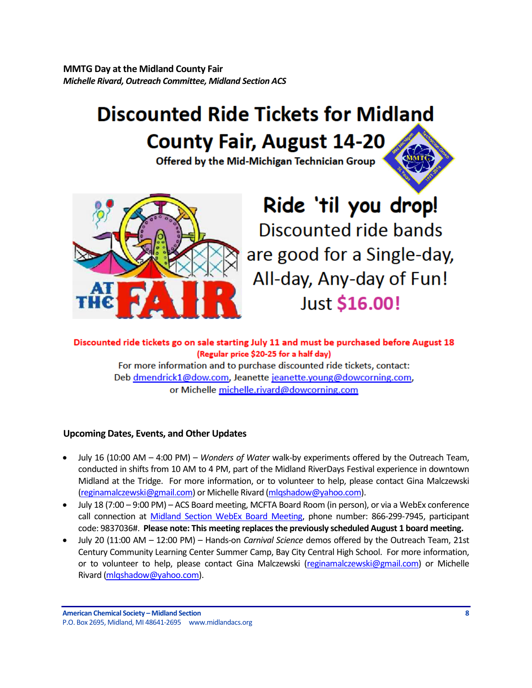<span id="page-7-0"></span>**MMTG Day at the Midland County Fair** *Michelle Rivard, Outreach Committee, Midland Section ACS*

# **Discounted Ride Tickets for Midland County Fair, August 14-20**

Offered by the Mid-Michigan Technician Group



# Ride 'til you drop! Discounted ride bands are good for a Single-day, All-day, Any-day of Fun! Just \$16.00!

Discounted ride tickets go on sale starting July 11 and must be purchased before August 18 (Regular price \$20-25 for a half day) For more information and to purchase discounted ride tickets, contact: Deb dmendrick1@dow.com, Jeanette jeanette.young@dowcorning.com,

or Michelle michelle.rivard@dowcorning.com

# <span id="page-7-1"></span>**Upcoming Dates, Events, and Other Updates**

- July 16 (10:00 AM 4:00 PM) *Wonders of Water* walk-by experiments offered by the Outreach Team, conducted in shifts from 10 AM to 4 PM, part of the Midland RiverDays Festival experience in downtown Midland at the Tridge. For more information, or to volunteer to help, please contact Gina Malczewski [\(reginamalczewski@gmail.com\)](mailto:reginamalczewski@gmail.com) or Michelle Rivard [\(mlqshadow@yahoo.com\)](mailto:mlqshadow@yahoo.com).
- July 18 (7:00 9:00 PM) ACS Board meeting, MCFTA Board Room (in person), or via a WebEx conference call connection at [Midland Section WebEx Board Meeting,](https://meetings.webex.com/collabs/meetings/join?uuid=MDUIF3K1F2PHUAY4ZKRYDP7EXH-MIS) phone number: 866-299-7945, participant code: 9837036#. **Please note: This meeting replaces the previously scheduled August 1 board meeting.**
- July 20 (11:00 AM 12:00 PM) Hands-on *Carnival Science* demos offered by the Outreach Team, 21st Century Community Learning Center Summer Camp, Bay City Central High School. For more information, or to volunteer to help, please contact Gina Malczewski [\(reginamalczewski@gmail.com\)](mailto:reginamalczewski@gmail.com) or Michelle Rivard [\(mlqshadow@yahoo.com\)](mailto:mlqshadow@yahoo.com).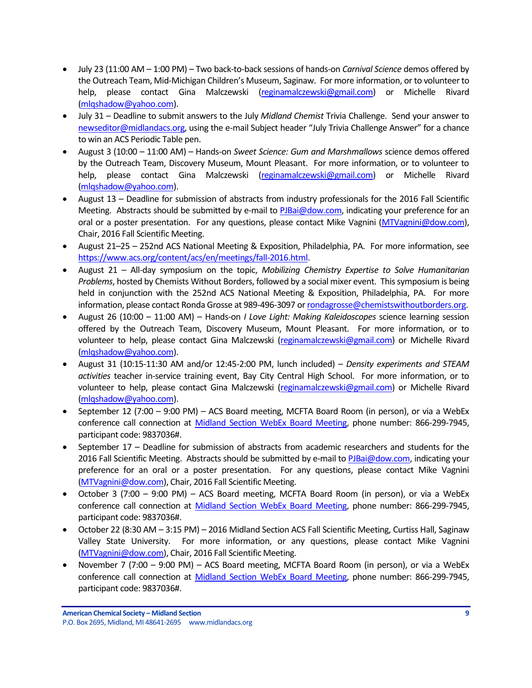- July 23 (11:00 AM 1:00 PM) Two back-to-back sessions of hands-on *Carnival Science* demos offered by the Outreach Team, Mid-Michigan Children's Museum, Saginaw. For more information, or to volunteer to help, please contact Gina Malczewski [\(reginamalczewski@gmail.com\)](mailto:reginamalczewski@gmail.com) or Michelle Rivard [\(mlqshadow@yahoo.com\)](mailto:mlqshadow@yahoo.com).
- July 31 Deadline to submit answers to the July *Midland Chemist* Trivia Challenge. Send your answer to [newseditor@midlandacs.org,](mailto:newseditor@midlandacs.org) using the e-mail Subject header "July Trivia Challenge Answer" for a chance to win an ACS Periodic Table pen.
- August 3 (10:00 11:00 AM) Hands-on *Sweet Science: Gum and Marshmallows* science demos offered by the Outreach Team, Discovery Museum, Mount Pleasant. For more information, or to volunteer to help, please contact Gina Malczewski [\(reginamalczewski@gmail.com\)](mailto:reginamalczewski@gmail.com) or Michelle Rivard [\(mlqshadow@yahoo.com\)](mailto:mlqshadow@yahoo.com).
- August 13 Deadline for submission of abstracts from industry professionals for the 2016 Fall Scientific Meeting. Abstracts should be submitted by e-mail to [PJBai@dow.com,](mailto:PJBai@dow.com) indicating your preference for an oral or a poster presentation. For any questions, please contact Mike Vagnini [\(MTVagnini@dow.com\)](mailto:MTVagnini@dow.com), Chair, 2016 Fall Scientific Meeting.
- August 21–25 252nd ACS National Meeting & Exposition, Philadelphia, PA. For more information, see [https://www.acs.org/content/acs/en/meetings/fall-2016.html.](https://www.acs.org/content/acs/en/meetings/fall-2016.html)
- August 21 All-day symposium on the topic, *Mobilizing Chemistry Expertise to Solve Humanitarian Problems*, hosted by Chemists Without Borders, followed by a social mixer event. This symposium is being held in conjunction with the 252nd ACS National Meeting & Exposition, Philadelphia, PA. For more information, please contact Ronda Grosse at 989-496-3097 o[r rondagrosse@chemistswithoutborders.org.](mailto:rondagrosse@chemistswithoutborders.org)
- August 26 (10:00 11:00 AM) Hands-on *I Love Light: Making Kaleidoscopes* science learning session offered by the Outreach Team, Discovery Museum, Mount Pleasant. For more information, or to volunteer to help, please contact Gina Malczewski [\(reginamalczewski@gmail.com\)](mailto:reginamalczewski@gmail.com) or Michelle Rivard [\(mlqshadow@yahoo.com\)](mailto:mlqshadow@yahoo.com).
- August 31 (10:15-11:30 AM and/or 12:45-2:00 PM, lunch included) *Density experiments and STEAM activities* teacher in-service training event, Bay City Central High School. For more information, or to volunteer to help, please contact Gina Malczewski [\(reginamalczewski@gmail.com\)](mailto:reginamalczewski@gmail.com) or Michelle Rivard [\(mlqshadow@yahoo.com\)](mailto:mlqshadow@yahoo.com).
- September 12 (7:00 9:00 PM) ACS Board meeting, MCFTA Board Room (in person), or via a WebEx conference call connection at [Midland Section WebEx Board Meeting,](https://meetings.webex.com/collabs/meetings/join?uuid=MDUIF3K1F2PHUAY4ZKRYDP7EXH-MIS) phone number: 866-299-7945, participant code: 9837036#.
- September 17 Deadline for submission of abstracts from academic researchers and students for the 2016 Fall Scientific Meeting. Abstracts should be submitted by e-mail t[o PJBai@dow.com,](mailto:PJBai@dow.com) indicating your preference for an oral or a poster presentation. For any questions, please contact Mike Vagnini [\(MTVagnini@dow.com\)](mailto:MTVagnini@dow.com), Chair, 2016 Fall Scientific Meeting.
- October 3 (7:00 9:00 PM) ACS Board meeting, MCFTA Board Room (in person), or via a WebEx conference call connection at [Midland Section WebEx Board Meeting,](https://meetings.webex.com/collabs/meetings/join?uuid=MDUIF3K1F2PHUAY4ZKRYDP7EXH-MIS) phone number: 866-299-7945, participant code: 9837036#.
- October 22 (8:30 AM 3:15 PM) 2016 Midland Section ACS Fall Scientific Meeting, Curtiss Hall, Saginaw Valley State University. For more information, or any questions, please contact Mike Vagnini [\(MTVagnini@dow.com\)](mailto:MTVagnini@dow.com), Chair, 2016 Fall Scientific Meeting.
- November 7 (7:00 9:00 PM) ACS Board meeting, MCFTA Board Room (in person), or via a WebEx conference call connection at [Midland Section WebEx Board Meeting,](https://meetings.webex.com/collabs/meetings/join?uuid=MDUIF3K1F2PHUAY4ZKRYDP7EXH-MIS) phone number: 866-299-7945, participant code: 9837036#.

**American Chemical Society – Midland Section 9** P.O. Box 2695, Midland, MI 48641-2695 www.midlandacs.org